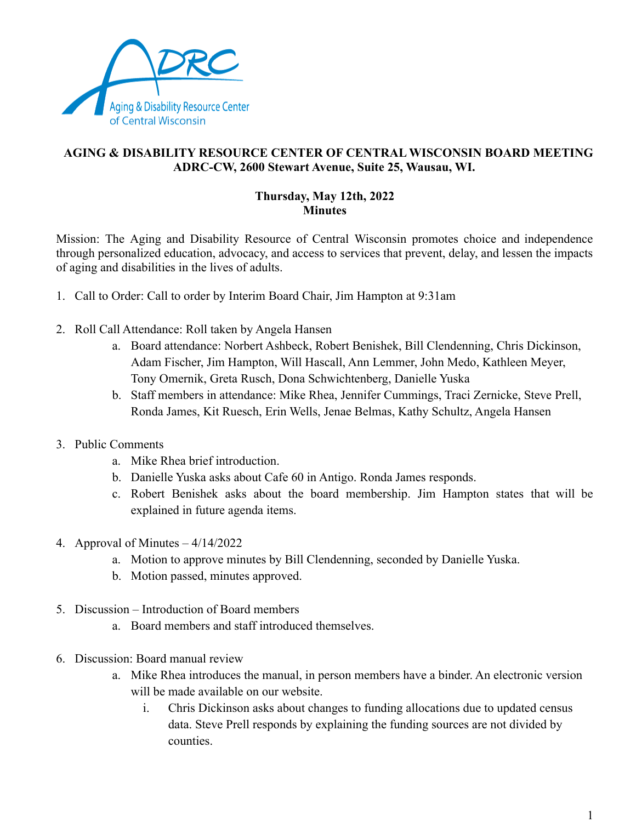

## **AGING & DISABILITY RESOURCE CENTER OF CENTRAL WISCONSIN BOARD MEETING ADRC-CW, 2600 Stewart Avenue, Suite 25, Wausau, WI.**

## **Thursday, May 12th, 2022 Minutes**

Mission: The Aging and Disability Resource of Central Wisconsin promotes choice and independence through personalized education, advocacy, and access to services that prevent, delay, and lessen the impacts of aging and disabilities in the lives of adults.

- 1. Call to Order: Call to order by Interim Board Chair, Jim Hampton at 9:31am
- 2. Roll Call Attendance: Roll taken by Angela Hansen
	- a. Board attendance: Norbert Ashbeck, Robert Benishek, Bill Clendenning, Chris Dickinson, Adam Fischer, Jim Hampton, Will Hascall, Ann Lemmer, John Medo, Kathleen Meyer, Tony Omernik, Greta Rusch, Dona Schwichtenberg, Danielle Yuska
	- b. Staff members in attendance: Mike Rhea, Jennifer Cummings, Traci Zernicke, Steve Prell, Ronda James, Kit Ruesch, Erin Wells, Jenae Belmas, Kathy Schultz, Angela Hansen
- 3. Public Comments
	- a. Mike Rhea brief introduction.
	- b. Danielle Yuska asks about Cafe 60 in Antigo. Ronda James responds.
	- c. Robert Benishek asks about the board membership. Jim Hampton states that will be explained in future agenda items.
- 4. Approval of Minutes 4/14/2022
	- a. Motion to approve minutes by Bill Clendenning, seconded by Danielle Yuska.
	- b. Motion passed, minutes approved.
- 5. Discussion Introduction of Board members
	- a. Board members and staff introduced themselves.
- 6. Discussion: Board manual review
	- a. Mike Rhea introduces the manual, in person members have a binder. An electronic version will be made available on our website.
		- i. Chris Dickinson asks about changes to funding allocations due to updated census data. Steve Prell responds by explaining the funding sources are not divided by counties.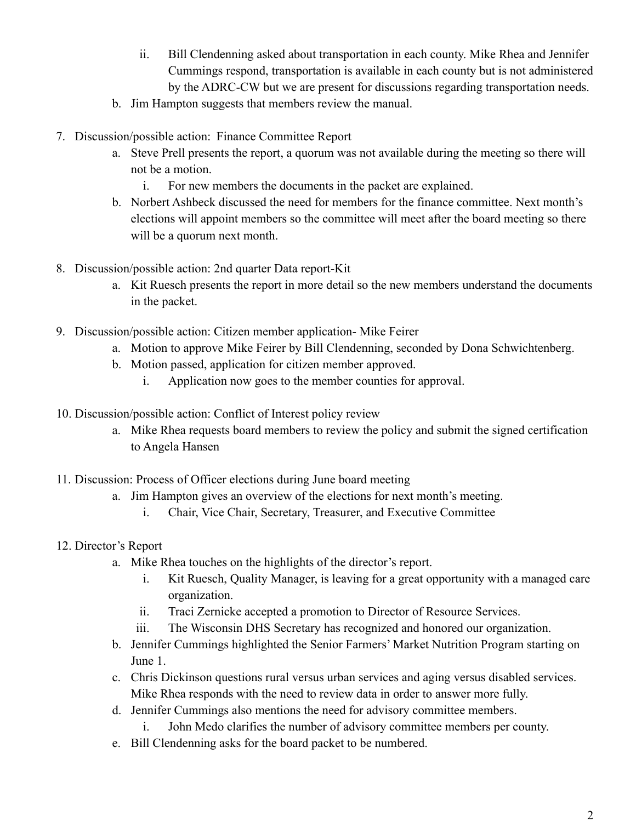- ii. Bill Clendenning asked about transportation in each county. Mike Rhea and Jennifer Cummings respond, transportation is available in each county but is not administered by the ADRC-CW but we are present for discussions regarding transportation needs.
- b. Jim Hampton suggests that members review the manual.
- 7. Discussion/possible action: Finance Committee Report
	- a. Steve Prell presents the report, a quorum was not available during the meeting so there will not be a motion.
		- i. For new members the documents in the packet are explained.
	- b. Norbert Ashbeck discussed the need for members for the finance committee. Next month's elections will appoint members so the committee will meet after the board meeting so there will be a quorum next month.
- 8. Discussion/possible action: 2nd quarter Data report-Kit
	- a. Kit Ruesch presents the report in more detail so the new members understand the documents in the packet.
- 9. Discussion/possible action: Citizen member application- Mike Feirer
	- a. Motion to approve Mike Feirer by Bill Clendenning, seconded by Dona Schwichtenberg.
	- b. Motion passed, application for citizen member approved.
		- i. Application now goes to the member counties for approval.
- 10. Discussion/possible action: Conflict of Interest policy review
	- a. Mike Rhea requests board members to review the policy and submit the signed certification to Angela Hansen
- 11. Discussion: Process of Officer elections during June board meeting
	- a. Jim Hampton gives an overview of the elections for next month's meeting.
		- i. Chair, Vice Chair, Secretary, Treasurer, and Executive Committee
- 12. Director's Report
	- a. Mike Rhea touches on the highlights of the director's report.
		- i. Kit Ruesch, Quality Manager, is leaving for a great opportunity with a managed care organization.
		- ii. Traci Zernicke accepted a promotion to Director of Resource Services.
		- iii. The Wisconsin DHS Secretary has recognized and honored our organization.
	- b. Jennifer Cummings highlighted the Senior Farmers' Market Nutrition Program starting on June 1.
	- c. Chris Dickinson questions rural versus urban services and aging versus disabled services. Mike Rhea responds with the need to review data in order to answer more fully.
	- d. Jennifer Cummings also mentions the need for advisory committee members.
		- i. John Medo clarifies the number of advisory committee members per county.
	- e. Bill Clendenning asks for the board packet to be numbered.